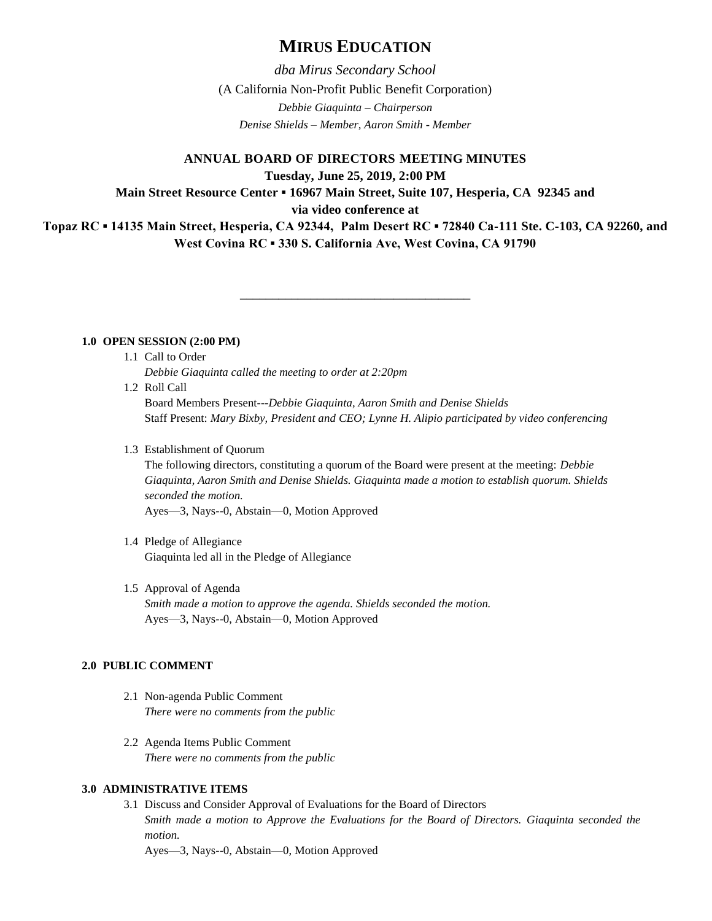# **MIRUS EDUCATION**

*dba Mirus Secondary School* (A California Non-Profit Public Benefit Corporation) *Debbie Giaquinta – Chairperson Denise Shields – Member, Aaron Smith - Member*

**ANNUAL BOARD OF DIRECTORS MEETING MINUTES**

**Tuesday, June 25, 2019, 2:00 PM**

**Main Street Resource Center ▪ 16967 Main Street, Suite 107, Hesperia, CA 92345 and**

**via video conference at** 

**Topaz RC ▪ 14135 Main Street, Hesperia, CA 92344, Palm Desert RC ▪ 72840 Ca-111 Ste. C-103, CA 92260, and West Covina RC ▪ 330 S. California Ave, West Covina, CA 91790**

\_\_\_\_\_\_\_\_\_\_\_\_\_\_\_\_\_\_\_\_\_\_\_\_\_\_\_\_\_\_\_\_\_\_\_\_

**1.0 OPEN SESSION (2:00 PM)**

1.1 Call to Order

*Debbie Giaquinta called the meeting to order at 2:20pm*

1.2 Roll Call

Board Members Present---*Debbie Giaquinta, Aaron Smith and Denise Shields* Staff Present: *Mary Bixby, President and CEO; Lynne H. Alipio participated by video conferencing*

1.3 Establishment of Quorum

The following directors, constituting a quorum of the Board were present at the meeting: *Debbie Giaquinta, Aaron Smith and Denise Shields. Giaquinta made a motion to establish quorum. Shields seconded the motion.*

Ayes—3, Nays--0, Abstain—0, Motion Approved

- 1.4 Pledge of Allegiance Giaquinta led all in the Pledge of Allegiance
- 1.5 Approval of Agenda *Smith made a motion to approve the agenda. Shields seconded the motion.* Ayes—3, Nays--0, Abstain—0, Motion Approved

## **2.0 PUBLIC COMMENT**

- 2.1 Non-agenda Public Comment *There were no comments from the public*
- 2.2 Agenda Items Public Comment *There were no comments from the public*

## **3.0 ADMINISTRATIVE ITEMS**

3.1 Discuss and Consider Approval of Evaluations for the Board of Directors *Smith made a motion to Approve the Evaluations for the Board of Directors. Giaquinta seconded the motion.* 

Ayes—3, Nays--0, Abstain—0, Motion Approved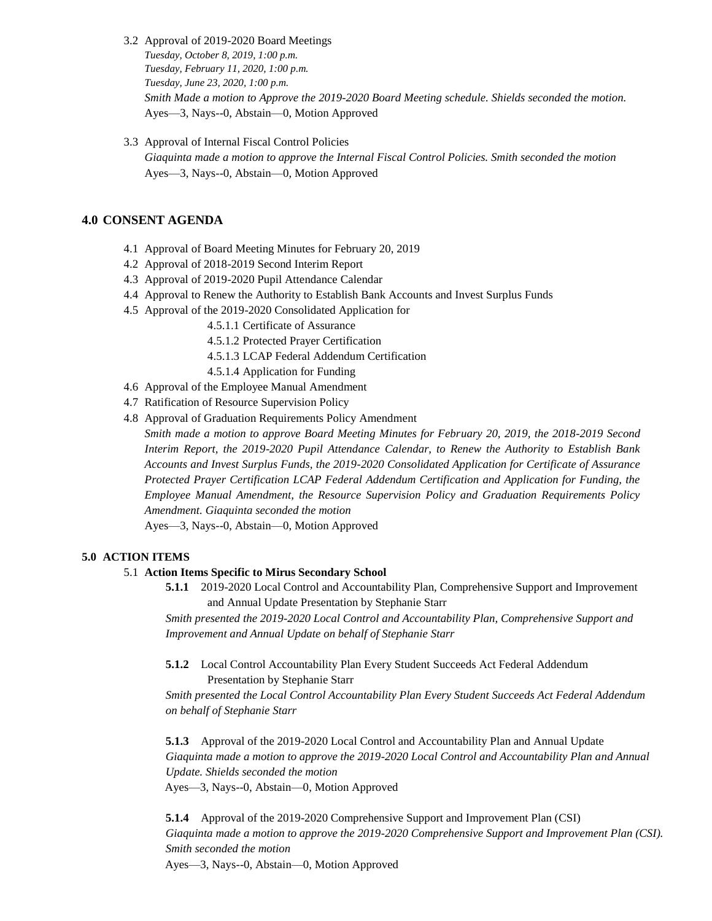- 3.2 Approval of 2019-2020 Board Meetings *Tuesday, October 8, 2019, 1:00 p.m. Tuesday, February 11, 2020, 1:00 p.m. Tuesday, June 23, 2020, 1:00 p.m. Smith Made a motion to Approve the 2019-2020 Board Meeting schedule. Shields seconded the motion.*  Ayes—3, Nays--0, Abstain—0, Motion Approved
- 3.3 Approval of Internal Fiscal Control Policies *Giaquinta made a motion to approve the Internal Fiscal Control Policies. Smith seconded the motion* Ayes—3, Nays--0, Abstain—0, Motion Approved

## **4.0 CONSENT AGENDA**

- 4.1 Approval of Board Meeting Minutes for February 20, 2019
- 4.2 Approval of 2018-2019 Second Interim Report
- 4.3 Approval of 2019-2020 Pupil Attendance Calendar
- 4.4 Approval to Renew the Authority to Establish Bank Accounts and Invest Surplus Funds
- 4.5 Approval of the 2019-2020 Consolidated Application for

4.5.1.1 Certificate of Assurance

4.5.1.2 Protected Prayer Certification

- 4.5.1.3 LCAP Federal Addendum Certification
- 4.5.1.4 Application for Funding
- 4.6 Approval of the Employee Manual Amendment
- 4.7 Ratification of Resource Supervision Policy
- 4.8 Approval of Graduation Requirements Policy Amendment

*Smith made a motion to approve Board Meeting Minutes for February 20, 2019, the 2018-2019 Second Interim Report, the 2019-2020 Pupil Attendance Calendar, to Renew the Authority to Establish Bank Accounts and Invest Surplus Funds, the 2019-2020 Consolidated Application for Certificate of Assurance Protected Prayer Certification LCAP Federal Addendum Certification and Application for Funding, the Employee Manual Amendment, the Resource Supervision Policy and Graduation Requirements Policy Amendment. Giaquinta seconded the motion*

Ayes—3, Nays--0, Abstain—0, Motion Approved

## **5.0 ACTION ITEMS**

#### 5.1 **Action Items Specific to Mirus Secondary School**

**5.1.1** 2019-2020 Local Control and Accountability Plan, Comprehensive Support and Improvement and Annual Update Presentation by Stephanie Starr

*Smith presented the 2019-2020 Local Control and Accountability Plan, Comprehensive Support and Improvement and Annual Update on behalf of Stephanie Starr*

**5.1.2** Local Control Accountability Plan Every Student Succeeds Act Federal Addendum Presentation by Stephanie Starr

*Smith presented the Local Control Accountability Plan Every Student Succeeds Act Federal Addendum on behalf of Stephanie Starr*

**5.1.3** Approval of the 2019-2020 Local Control and Accountability Plan and Annual Update *Giaquinta made a motion to approve the 2019-2020 Local Control and Accountability Plan and Annual Update. Shields seconded the motion* Ayes—3, Nays--0, Abstain—0, Motion Approved

**5.1.4** Approval of the 2019-2020 Comprehensive Support and Improvement Plan (CSI) *Giaquinta made a motion to approve the 2019-2020 Comprehensive Support and Improvement Plan (CSI). Smith seconded the motion* Ayes—3, Nays--0, Abstain—0, Motion Approved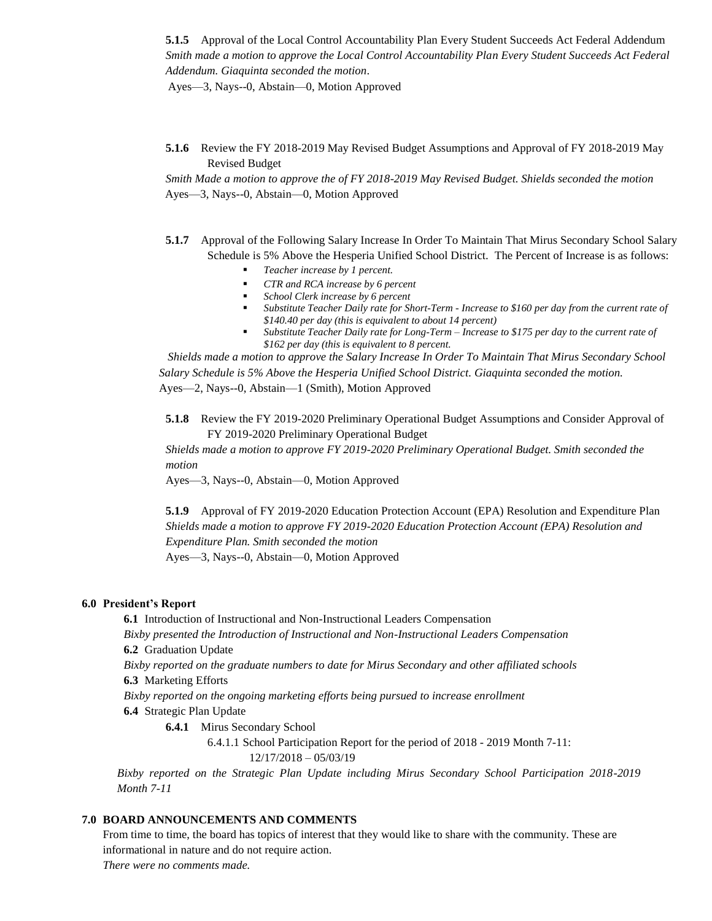**5.1.5** Approval of the Local Control Accountability Plan Every Student Succeeds Act Federal Addendum *Smith made a motion to approve the Local Control Accountability Plan Every Student Succeeds Act Federal Addendum. Giaquinta seconded the motion*.

Ayes—3, Nays--0, Abstain—0, Motion Approved

**5.1.6** Review the FY 2018-2019 May Revised Budget Assumptions and Approval of FY 2018-2019 May Revised Budget

*Smith Made a motion to approve the of FY 2018-2019 May Revised Budget. Shields seconded the motion* Ayes—3, Nays--0, Abstain—0, Motion Approved

- **5.1.7** Approval of the Following Salary Increase In Order To Maintain That Mirus Secondary School Salary Schedule is 5% Above the Hesperia Unified School District. The Percent of Increase is as follows:
	- *Teacher increase by 1 percent.*
	- *CTR and RCA increase by 6 percent*
	- *School Clerk increase by 6 percent*
	- *Substitute Teacher Daily rate for Short-Term - Increase to \$160 per day from the current rate of \$140.40 per day (this is equivalent to about 14 percent)*
	- *Substitute Teacher Daily rate for Long-Term – Increase to \$175 per day to the current rate of \$162 per day (this is equivalent to 8 percent.*

 *Shields made a motion to approve the Salary Increase In Order To Maintain That Mirus Secondary School Salary Schedule is 5% Above the Hesperia Unified School District. Giaquinta seconded the motion.* Ayes—2, Nays--0, Abstain—1 (Smith), Motion Approved

**5.1.8** Review the FY 2019-2020 Preliminary Operational Budget Assumptions and Consider Approval of FY 2019-2020 Preliminary Operational Budget

*Shields made a motion to approve FY 2019-2020 Preliminary Operational Budget. Smith seconded the motion*

Ayes—3, Nays--0, Abstain—0, Motion Approved

**5.1.9** Approval of FY 2019-2020 Education Protection Account (EPA) Resolution and Expenditure Plan *Shields made a motion to approve FY 2019-2020 Education Protection Account (EPA) Resolution and Expenditure Plan. Smith seconded the motion* Ayes—3, Nays--0, Abstain—0, Motion Approved

#### **6.0 President's Report**

**6.1** Introduction of Instructional and Non-Instructional Leaders Compensation *Bixby presented the Introduction of Instructional and Non-Instructional Leaders Compensation* **6.2** Graduation Update

*Bixby reported on the graduate numbers to date for Mirus Secondary and other affiliated schools*

**6.3** Marketing Efforts

*Bixby reported on the ongoing marketing efforts being pursued to increase enrollment* 

**6.4** Strategic Plan Update

**6.4.1** Mirus Secondary School

6.4.1.1 School Participation Report for the period of 2018 - 2019 Month 7-11:

12/17/2018 – 05/03/19

*Bixby reported on the Strategic Plan Update including Mirus Secondary School Participation 2018-2019 Month 7-11*

#### **7.0 BOARD ANNOUNCEMENTS AND COMMENTS**

From time to time, the board has topics of interest that they would like to share with the community. These are informational in nature and do not require action.

*There were no comments made.*